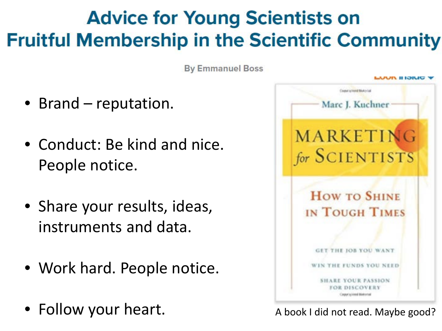#### **Advice for Young Scientists on Fruitful Membership in the Scientific Community**

**By Emmanuel Boss** 

- Brand reputation.
- Conduct: Be kind and nice. People notice.
- Share your results, ideas, instruments and data.
- Work hard. People notice.
- Follow your heart.



A book I did not read. Maybe good?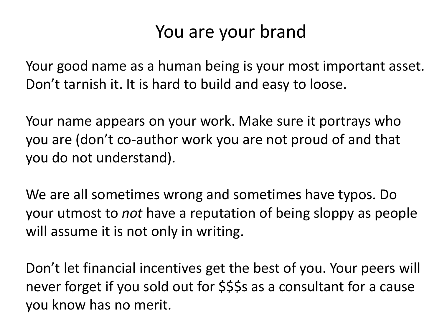#### You are your brand

Your good name as a human being is your most important asset. Don't tarnish it. It is hard to build and easy to loose.

Your name appears on your work. Make sure it portrays who you are (don't co-author work you are not proud of and that you do not understand).

We are all sometimes wrong and sometimes have typos. Do your utmost to *not* have a reputation of being sloppy as people will assume it is not only in writing.

Don't let financial incentives get the best of you. Your peers will never forget if you sold out for \$\$\$s as a consultant for a cause you know has no merit.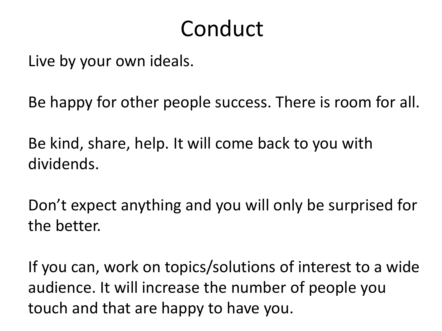### Conduct

Live by your own ideals.

Be happy for other people success. There is room for all.

Be kind, share, help. It will come back to you with dividends.

Don't expect anything and you will only be surprised for the better.

If you can, work on topics/solutions of interest to a wide audience. It will increase the number of people you touch and that are happy to have you.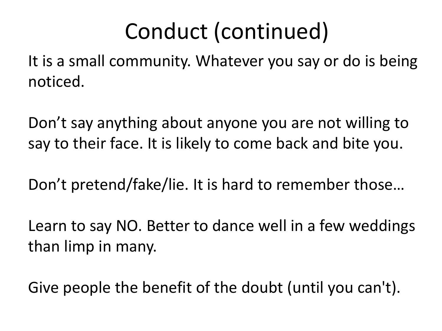# Conduct (continued)

It is a small community. Whatever you say or do is being noticed.

Don't say anything about anyone you are not willing to say to their face. It is likely to come back and bite you.

Don't pretend/fake/lie. It is hard to remember those…

Learn to say NO. Better to dance well in a few weddings than limp in many.

Give people the benefit of the doubt (until you can't).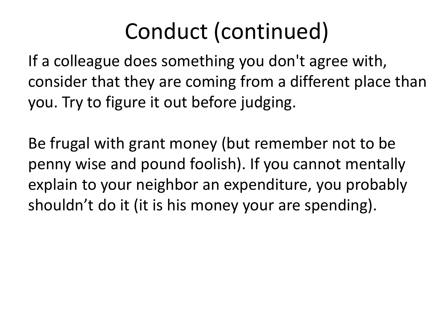# Conduct (continued)

If a colleague does something you don't agree with, consider that they are coming from a different place than you. Try to figure it out before judging.

Be frugal with grant money (but remember not to be penny wise and pound foolish). If you cannot mentally explain to your neighbor an expenditure, you probably shouldn't do it (it is his money your are spending).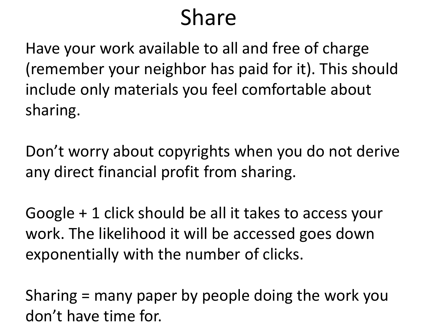## Share

Have your work available to all and free of charge (remember your neighbor has paid for it). This should include only materials you feel comfortable about sharing.

Don't worry about copyrights when you do not derive any direct financial profit from sharing.

Google + 1 click should be all it takes to access your work. The likelihood it will be accessed goes down exponentially with the number of clicks.

Sharing = many paper by people doing the work you don't have time for.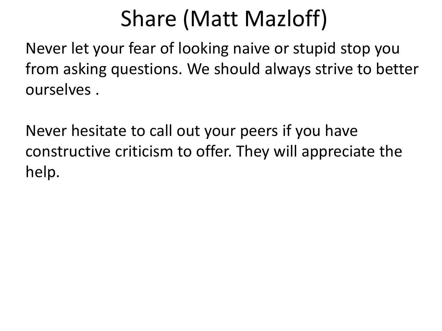# Share (Matt Mazloff)

Never let your fear of looking naive or stupid stop you from asking questions. We should always strive to better ourselves .

Never hesitate to call out your peers if you have constructive criticism to offer. They will appreciate the help.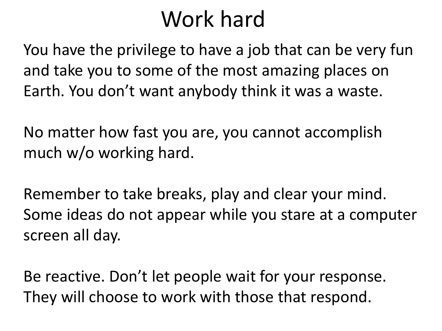## Work hard

You have the privilege to have a job that can be very fun and take you to some of the most amazing places on Earth. You don't want anybody think it was a waste.

No matter how fast you are, you cannot accomplish much w/o working hard.

Remember to take breaks, play and clear your mind. Some ideas do not appear while you stare at a computer screen all day.

Be reactive. Don't let people wait for your response. They will choose to work with those that respond.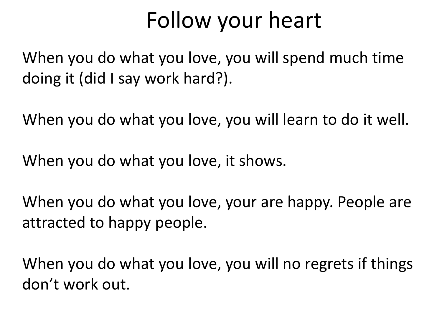## Follow your heart

When you do what you love, you will spend much time doing it (did I say work hard?).

When you do what you love, you will learn to do it well.

When you do what you love, it shows.

When you do what you love, your are happy. People are attracted to happy people.

When you do what you love, you will no regrets if things don't work out.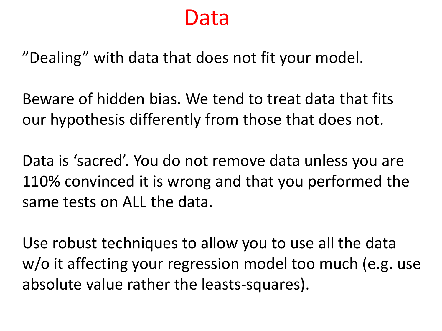#### Data

"Dealing" with data that does not fit your model.

Beware of hidden bias. We tend to treat data that fits our hypothesis differently from those that does not.

Data is 'sacred'. You do not remove data unless you are 110% convinced it is wrong and that you performed the same tests on ALL the data.

Use robust techniques to allow you to use all the data w/o it affecting your regression model too much (e.g. use absolute value rather the leasts-squares).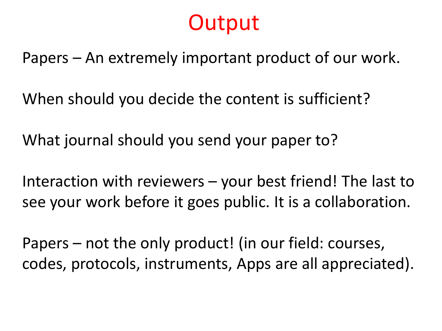#### **Output**

Papers – An extremely important product of our work.

When should you decide the content is sufficient?

What journal should you send your paper to?

Interaction with reviewers – your best friend! The last to see your work before it goes public. It is a collaboration.

Papers – not the only product! (in our field: courses, codes, protocols, instruments, Apps are all appreciated).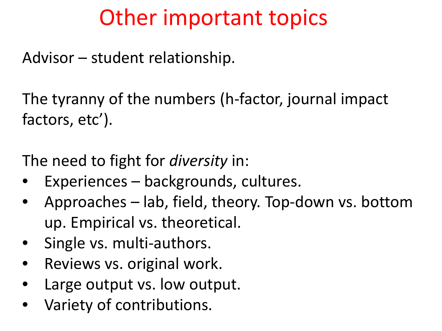## Other important topics

Advisor – student relationship.

The tyranny of the numbers (h-factor, journal impact factors, etc').

The need to fight for *diversity* in:

- Experiences backgrounds, cultures.
- Approaches lab, field, theory. Top-down vs. bottom up. Empirical vs. theoretical.
- Single vs. multi-authors.
- Reviews vs. original work.
- Large output vs. low output.
- Variety of contributions.